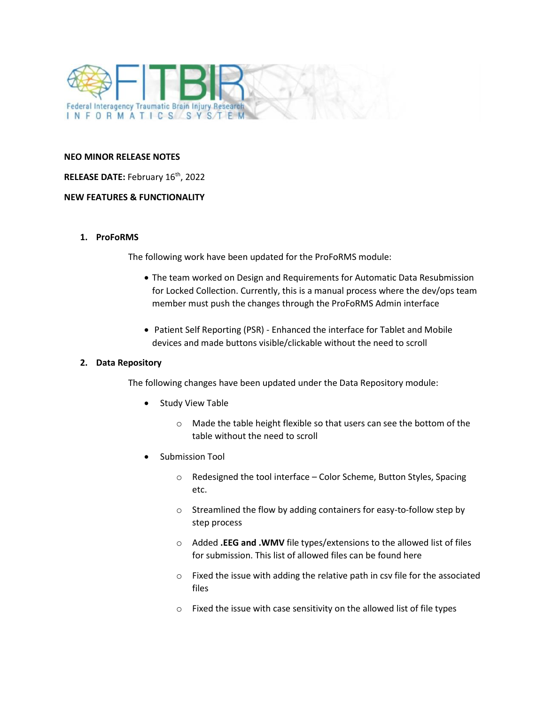

#### **NEO MINOR RELEASE NOTES**

### **RELEASE DATE: February 16<sup>th</sup>, 2022**

### **NEW FEATURES & FUNCTIONALITY**

### **1. ProFoRMS**

The following work have been updated for the ProFoRMS module:

- The team worked on Design and Requirements for Automatic Data Resubmission for Locked Collection. Currently, this is a manual process where the dev/ops team member must push the changes through the ProFoRMS Admin interface
- Patient Self Reporting (PSR) Enhanced the interface for Tablet and Mobile devices and made buttons visible/clickable without the need to scroll

# **2. Data Repository**

The following changes have been updated under the Data Repository module:

- Study View Table
	- o Made the table height flexible so that users can see the bottom of the table without the need to scroll
- Submission Tool
	- o Redesigned the tool interface Color Scheme, Button Styles, Spacing etc.
	- o Streamlined the flow by adding containers for easy-to-follow step by step process
	- o Added **.EEG and .WMV** file types/extensions to the allowed list of files for submission. This list of allowed files can be found here
	- o Fixed the issue with adding the relative path in csv file for the associated files
	- o Fixed the issue with case sensitivity on the allowed list of file types